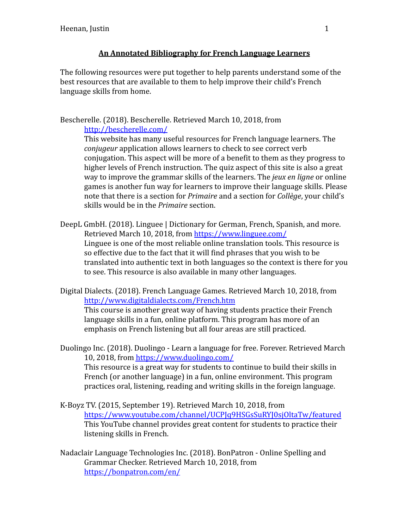## **An Annotated Bibliography for French Language Learners**

The following resources were put together to help parents understand some of the best resources that are available to them to help improve their child's French language skills from home.

## Bescherelle. (2018). Bescherelle. Retrieved March 10, 2018, from <http://bescherelle.com/>

This website has many useful resources for French language learners. The *conjugeur* application allows learners to check to see correct verb conjugation. This aspect will be more of a benefit to them as they progress to higher levels of French instruction. The quiz aspect of this site is also a great way to improve the grammar skills of the learners. The *jeux en ligne* or online games is another fun way for learners to improve their language skills. Please note that there is a section for *Primaire* and a section for *Collège*, your child's skills would be in the *Primaire* section.

- DeepL GmbH. (2018). Linguee | Dictionary for German, French, Spanish, and more. Retrieved March 10, 2018, from <https://www.linguee.com/> Linguee is one of the most reliable online translation tools. This resource is so effective due to the fact that it will find phrases that you wish to be translated into authentic text in both languages so the context is there for you to see. This resource is also available in many other languages.
- Digital Dialects. (2018). French Language Games. Retrieved March 10, 2018, from <http://www.digitaldialects.com/French.htm>

This course is another great way of having students practice their French language skills in a fun, online platform. This program has more of an emphasis on French listening but all four areas are still practiced.

- Duolingo Inc. (2018). Duolingo Learn a language for free. Forever. Retrieved March 10, 2018, from <https://www.duolingo.com/> This resource is a great way for students to continue to build their skills in French (or another language) in a fun, online environment. This program practices oral, listening, reading and writing skills in the foreign language.
- K-Boyz TV. (2015, September 19). Retrieved March 10, 2018, from <https://www.youtube.com/channel/UCPJq9HSGsSuRYJ0sjOltaTw/featured> This YouTube channel provides great content for students to practice their listening skills in French.
- Nadaclair Language Technologies Inc. (2018). BonPatron Online Spelling and Grammar Checker. Retrieved March 10, 2018, from <https://bonpatron.com/en/>